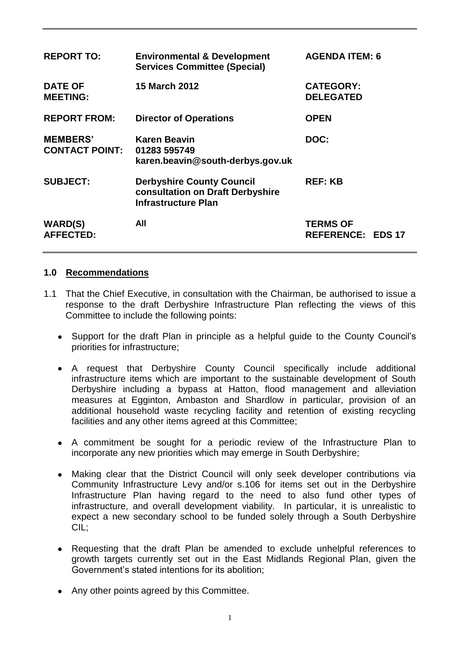| <b>REPORT TO:</b>                        | <b>Environmental &amp; Development</b><br><b>Services Committee (Special)</b>                      | <b>AGENDA ITEM: 6</b>                       |
|------------------------------------------|----------------------------------------------------------------------------------------------------|---------------------------------------------|
| <b>DATE OF</b><br><b>MEETING:</b>        | <b>15 March 2012</b>                                                                               | <b>CATEGORY:</b><br><b>DELEGATED</b>        |
| <b>REPORT FROM:</b>                      | <b>Director of Operations</b>                                                                      | <b>OPEN</b>                                 |
| <b>MEMBERS'</b><br><b>CONTACT POINT:</b> | <b>Karen Beavin</b><br>01283 595749<br>karen.beavin@south-derbys.gov.uk                            | DOC:                                        |
| <b>SUBJECT:</b>                          | <b>Derbyshire County Council</b><br>consultation on Draft Derbyshire<br><b>Infrastructure Plan</b> | <b>REF: KB</b>                              |
| <b>WARD(S)</b><br><b>AFFECTED:</b>       | All                                                                                                | <b>TERMS OF</b><br><b>REFERENCE: EDS 17</b> |

#### **1.0 Recommendations**

- 1.1 That the Chief Executive, in consultation with the Chairman, be authorised to issue a response to the draft Derbyshire Infrastructure Plan reflecting the views of this Committee to include the following points:
	- Support for the draft Plan in principle as a helpful guide to the County Council's priorities for infrastructure;
	- A request that Derbyshire County Council specifically include additional infrastructure items which are important to the sustainable development of South Derbyshire including a bypass at Hatton, flood management and alleviation measures at Egginton, Ambaston and Shardlow in particular, provision of an additional household waste recycling facility and retention of existing recycling facilities and any other items agreed at this Committee;
	- A commitment be sought for a periodic review of the Infrastructure Plan to incorporate any new priorities which may emerge in South Derbyshire;
	- $\bullet$ Making clear that the District Council will only seek developer contributions via Community Infrastructure Levy and/or s.106 for items set out in the Derbyshire Infrastructure Plan having regard to the need to also fund other types of infrastructure, and overall development viability. In particular, it is unrealistic to expect a new secondary school to be funded solely through a South Derbyshire CIL;
	- $\bullet$ Requesting that the draft Plan be amended to exclude unhelpful references to growth targets currently set out in the East Midlands Regional Plan, given the Government's stated intentions for its abolition;
	- Any other points agreed by this Committee.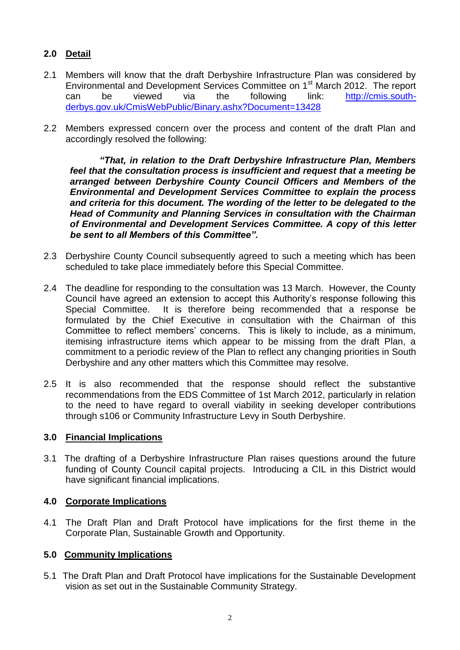## **2.0 Detail**

- 2.1 Members will know that the draft Derbyshire Infrastructure Plan was considered by Environmental and Development Services Committee on 1<sup>st</sup> March 2012. The report can be viewed via the following link: [http://cmis.south](http://cmis.south-derbys.gov.uk/CmisWebPublic/Binary.ashx?Document=13428)[derbys.gov.uk/CmisWebPublic/Binary.ashx?Document=13428](http://cmis.south-derbys.gov.uk/CmisWebPublic/Binary.ashx?Document=13428)
- 2.2 Members expressed concern over the process and content of the draft Plan and accordingly resolved the following:

*"That, in relation to the Draft Derbyshire Infrastructure Plan, Members feel that the consultation process is insufficient and request that a meeting be arranged between Derbyshire County Council Officers and Members of the Environmental and Development Services Committee to explain the process and criteria for this document. The wording of the letter to be delegated to the Head of Community and Planning Services in consultation with the Chairman of Environmental and Development Services Committee. A copy of this letter be sent to all Members of this Committee".*

- 2.3 Derbyshire County Council subsequently agreed to such a meeting which has been scheduled to take place immediately before this Special Committee.
- 2.4 The deadline for responding to the consultation was 13 March. However, the County Council have agreed an extension to accept this Authority's response following this Special Committee. It is therefore being recommended that a response be formulated by the Chief Executive in consultation with the Chairman of this Committee to reflect members' concerns. This is likely to include, as a minimum, itemising infrastructure items which appear to be missing from the draft Plan, a commitment to a periodic review of the Plan to reflect any changing priorities in South Derbyshire and any other matters which this Committee may resolve.
- 2.5 It is also recommended that the response should reflect the substantive recommendations from the EDS Committee of 1st March 2012, particularly in relation to the need to have regard to overall viability in seeking developer contributions through s106 or Community Infrastructure Levy in South Derbyshire.

#### **3.0 Financial Implications**

3.1 The drafting of a Derbyshire Infrastructure Plan raises questions around the future funding of County Council capital projects. Introducing a CIL in this District would have significant financial implications.

#### **4.0 Corporate Implications**

4.1 The Draft Plan and Draft Protocol have implications for the first theme in the Corporate Plan, Sustainable Growth and Opportunity.

### **5.0 Community Implications**

5.1 The Draft Plan and Draft Protocol have implications for the Sustainable Development vision as set out in the Sustainable Community Strategy.